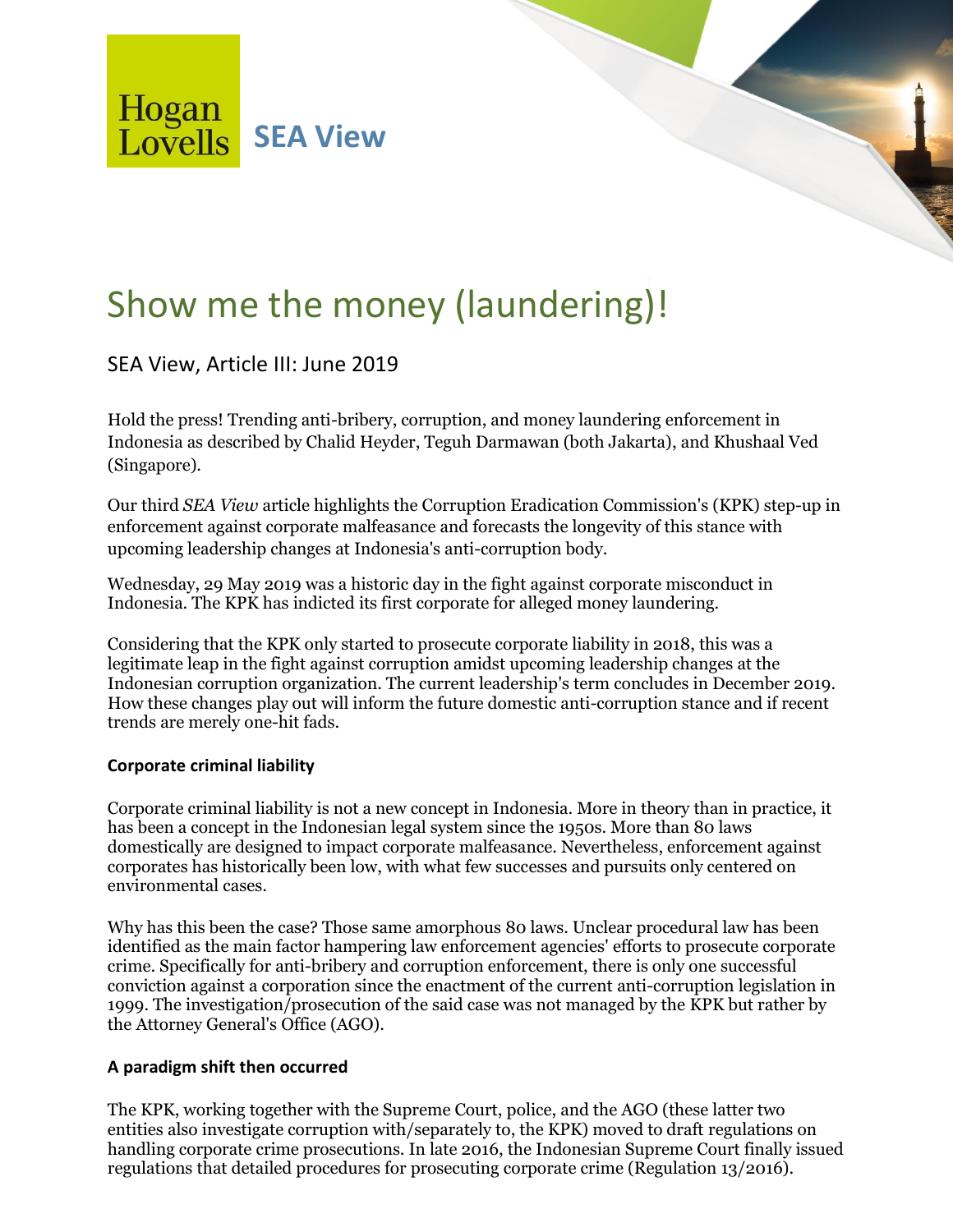Hogan **Lovells** SEA View

# Show me the money (laundering)!

SEA View, Article III: June 2019

Hold the press! Trending anti-bribery, corruption, and money laundering enforcement in Indonesia as described by Chalid Heyder, Teguh Darmawan (both Jakarta), and Khushaal Ved (Singapore).

Our third *SEA View* article highlights the Corruption Eradication Commission's (KPK) step-up in enforcement against corporate malfeasance and forecasts the longevity of this stance with upcoming leadership changes at Indonesia's anti-corruption body.

Wednesday, 29 May 2019 was a historic day in the fight against corporate misconduct in Indonesia. The KPK has indicted its first corporate for alleged money laundering.

Considering that the KPK only started to prosecute corporate liability in 2018, this was a legitimate leap in the fight against corruption amidst upcoming leadership changes at the Indonesian corruption organization. The current leadership's term concludes in December 2019. How these changes play out will inform the future domestic anti-corruption stance and if recent trends are merely one-hit fads.

# **Corporate criminal liability**

Corporate criminal liability is not a new concept in Indonesia. More in theory than in practice, it has been a concept in the Indonesian legal system since the 1950s. More than 80 laws domestically are designed to impact corporate malfeasance. Nevertheless, enforcement against corporates has historically been low, with what few successes and pursuits only centered on environmental cases.

Why has this been the case? Those same amorphous 80 laws. Unclear procedural law has been identified as the main factor hampering law enforcement agencies' efforts to prosecute corporate crime. Specifically for anti-bribery and corruption enforcement, there is only one successful conviction against a corporation since the enactment of the current anti-corruption legislation in 1999. The investigation/prosecution of the said case was not managed by the KPK but rather by the Attorney General's Office (AGO).

# **A paradigm shift then occurred**

The KPK, working together with the Supreme Court, police, and the AGO (these latter two entities also investigate corruption with/separately to, the KPK) moved to draft regulations on handling corporate crime prosecutions. In late 2016, the Indonesian Supreme Court finally issued regulations that detailed procedures for prosecuting corporate crime (Regulation 13/2016).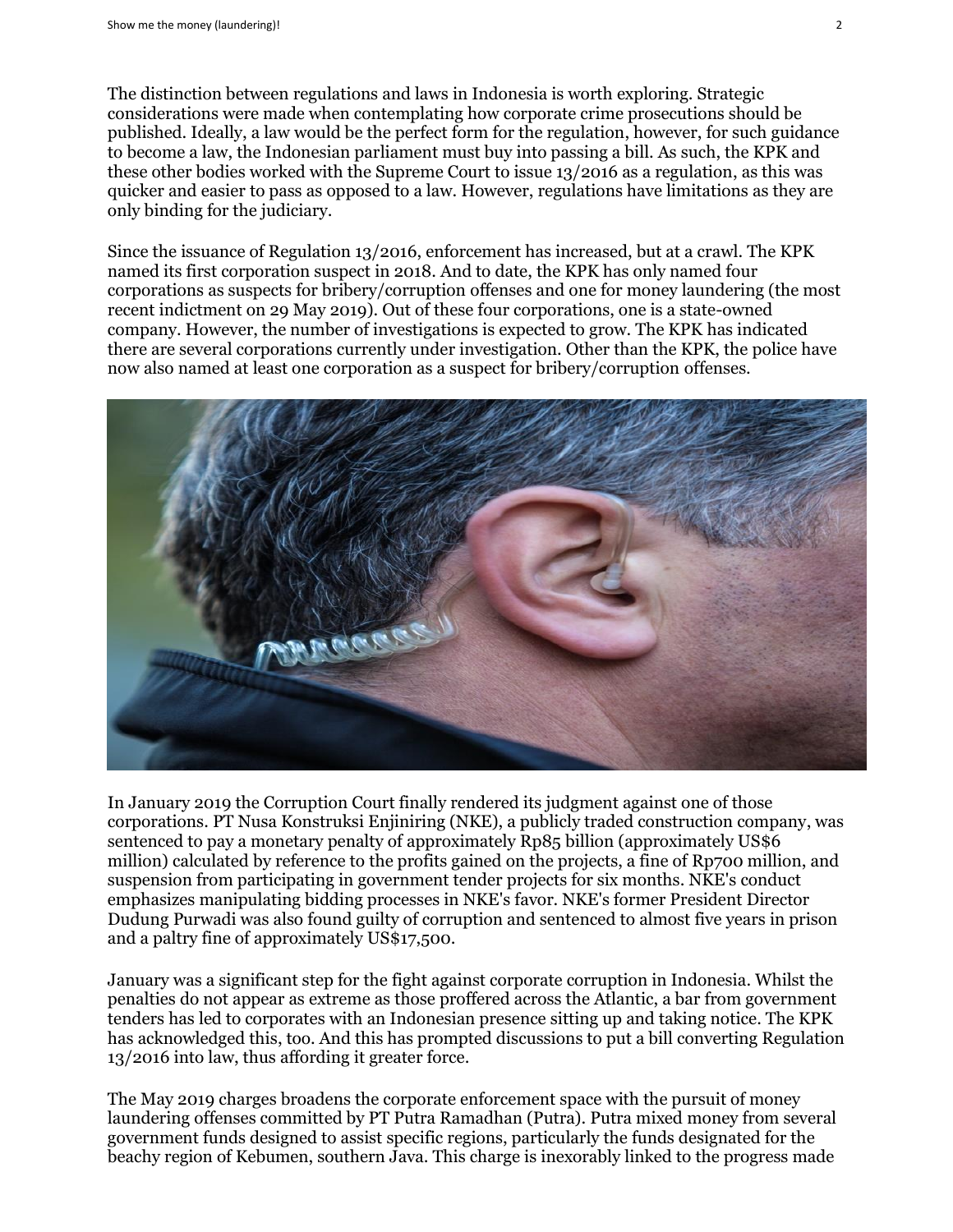The distinction between regulations and laws in Indonesia is worth exploring. Strategic considerations were made when contemplating how corporate crime prosecutions should be published. Ideally, a law would be the perfect form for the regulation, however, for such guidance to become a law, the Indonesian parliament must buy into passing a bill. As such, the KPK and these other bodies worked with the Supreme Court to issue 13/2016 as a regulation, as this was quicker and easier to pass as opposed to a law. However, regulations have limitations as they are only binding for the judiciary.

Since the issuance of Regulation 13/2016, enforcement has increased, but at a crawl. The KPK named its first corporation suspect in 2018. And to date, the KPK has only named four corporations as suspects for bribery/corruption offenses and one for money laundering (the most recent indictment on 29 May 2019). Out of these four corporations, one is a state-owned company. However, the number of investigations is expected to grow. The KPK has indicated there are several corporations currently under investigation. Other than the KPK, the police have now also named at least one corporation as a suspect for bribery/corruption offenses.



In January 2019 the Corruption Court finally rendered its judgment against one of those corporations. PT Nusa Konstruksi Enjiniring (NKE), a publicly traded construction company, was sentenced to pay a monetary penalty of approximately Rp85 billion (approximately US\$6 million) calculated by reference to the profits gained on the projects, a fine of Rp700 million, and suspension from participating in government tender projects for six months. NKE's conduct emphasizes manipulating bidding processes in NKE's favor. NKE's former President Director Dudung Purwadi was also found guilty of corruption and sentenced to almost five years in prison and a paltry fine of approximately US\$17,500.

January was a significant step for the fight against corporate corruption in Indonesia. Whilst the penalties do not appear as extreme as those proffered across the Atlantic, a bar from government tenders has led to corporates with an Indonesian presence sitting up and taking notice. The KPK has acknowledged this, too. And this has prompted discussions to put a bill converting Regulation 13/2016 into law, thus affording it greater force.

The May 2019 charges broadens the corporate enforcement space with the pursuit of money laundering offenses committed by PT Putra Ramadhan (Putra). Putra mixed money from several government funds designed to assist specific regions, particularly the funds designated for the beachy region of Kebumen, southern Java. This charge is inexorably linked to the progress made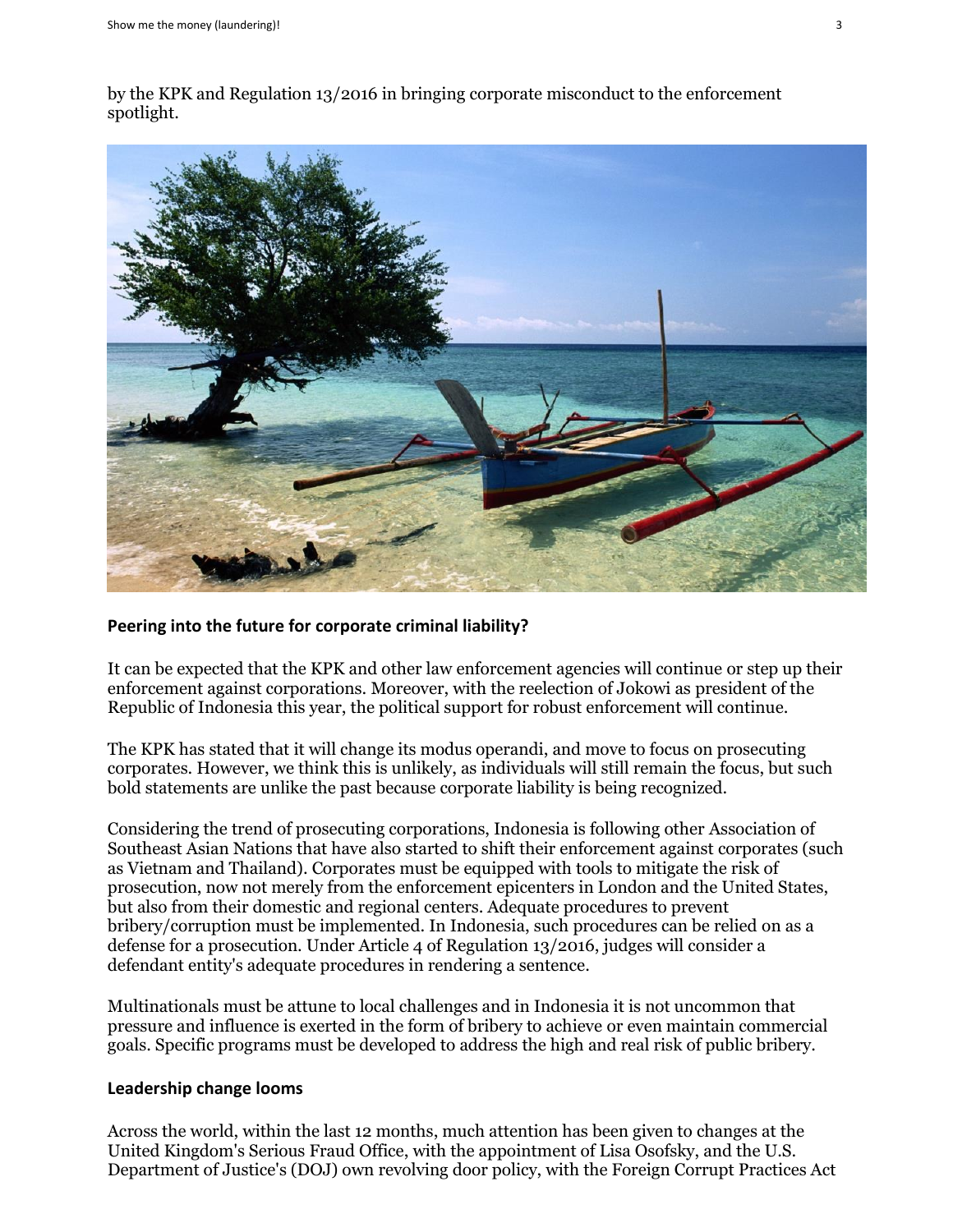by the KPK and Regulation 13/2016 in bringing corporate misconduct to the enforcement spotlight.



### **Peering into the future for corporate criminal liability?**

It can be expected that the KPK and other law enforcement agencies will continue or step up their enforcement against corporations. Moreover, with the reelection of Jokowi as president of the Republic of Indonesia this year, the political support for robust enforcement will continue.

The KPK has stated that it will change its modus operandi, and move to focus on prosecuting corporates. However, we think this is unlikely, as individuals will still remain the focus, but such bold statements are unlike the past because corporate liability is being recognized.

Considering the trend of prosecuting corporations, Indonesia is following other Association of Southeast Asian Nations that have also started to shift their enforcement against corporates (such as Vietnam and Thailand). Corporates must be equipped with tools to mitigate the risk of prosecution, now not merely from the enforcement epicenters in London and the United States, but also from their domestic and regional centers. Adequate procedures to prevent bribery/corruption must be implemented. In Indonesia, such procedures can be relied on as a defense for a prosecution. Under Article 4 of Regulation 13/2016, judges will consider a defendant entity's adequate procedures in rendering a sentence.

Multinationals must be attune to local challenges and in Indonesia it is not uncommon that pressure and influence is exerted in the form of bribery to achieve or even maintain commercial goals. Specific programs must be developed to address the high and real risk of public bribery.

### **Leadership change looms**

Across the world, within the last 12 months, much attention has been given to changes at the United Kingdom's Serious Fraud Office, with the appointment of Lisa Osofsky, and the U.S. Department of Justice's (DOJ) own revolving door policy, with the Foreign Corrupt Practices Act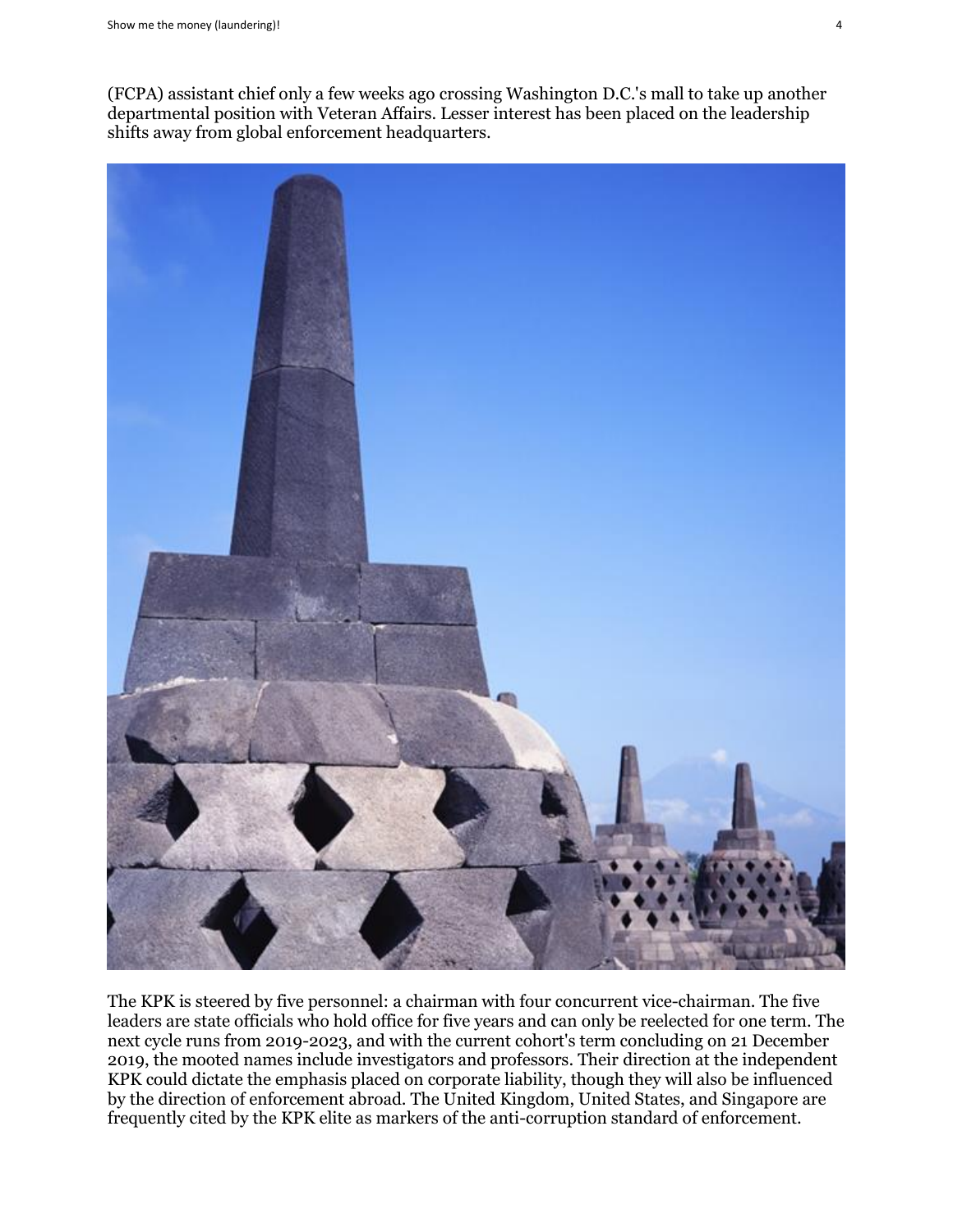(FCPA) assistant chief only a few weeks ago crossing Washington D.C.'s mall to take up another departmental position with Veteran Affairs. Lesser interest has been placed on the leadership shifts away from global enforcement headquarters.



The KPK is steered by five personnel: a chairman with four concurrent vice-chairman. The five leaders are state officials who hold office for five years and can only be reelected for one term. The next cycle runs from 2019-2023, and with the current cohort's term concluding on 21 December 2019, the mooted names include investigators and professors. Their direction at the independent KPK could dictate the emphasis placed on corporate liability, though they will also be influenced by the direction of enforcement abroad. The United Kingdom, United States, and Singapore are frequently cited by the KPK elite as markers of the anti-corruption standard of enforcement.